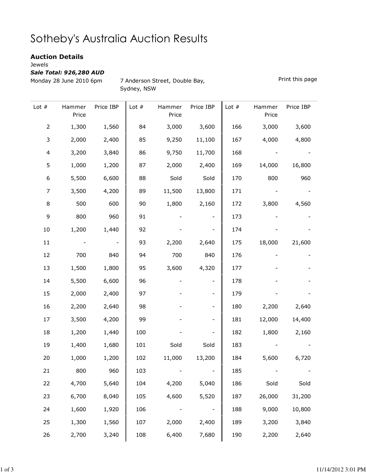## Sotheby's Australia Auction Results

## Auction Details

Jewels

Sale Total: 926,280 AUD

Monday 28 June 2010 6pm 7 Anderson Street, Double Bay, Sydney, NSW

Print this page

| Lot $#$        | Hammer<br>Price | Price IBP | Lot $#$ | Hammer<br>Price | Price IBP | Lot $#$ | Hammer<br>Price | Price IBP |
|----------------|-----------------|-----------|---------|-----------------|-----------|---------|-----------------|-----------|
| $\mathsf{2}\,$ | 1,300           | 1,560     | 84      | 3,000           | 3,600     | 166     | 3,000           | 3,600     |
| 3              | 2,000           | 2,400     | 85      | 9,250           | 11,100    | 167     | 4,000           | 4,800     |
| $\overline{4}$ | 3,200           | 3,840     | 86      | 9,750           | 11,700    | 168     |                 |           |
| 5              | 1,000           | 1,200     | 87      | 2,000           | 2,400     | 169     | 14,000          | 16,800    |
| 6              | 5,500           | 6,600     | 88      | Sold            | Sold      | 170     | 800             | 960       |
| 7              | 3,500           | 4,200     | 89      | 11,500          | 13,800    | 171     |                 |           |
| 8              | 500             | 600       | 90      | 1,800           | 2,160     | 172     | 3,800           | 4,560     |
| 9              | 800             | 960       | 91      |                 |           | 173     |                 |           |
| $10\,$         | 1,200           | 1,440     | 92      |                 |           | 174     |                 |           |
| 11             |                 |           | 93      | 2,200           | 2,640     | 175     | 18,000          | 21,600    |
| 12             | 700             | 840       | 94      | 700             | 840       | 176     |                 |           |
| 13             | 1,500           | 1,800     | 95      | 3,600           | 4,320     | 177     |                 |           |
| 14             | 5,500           | 6,600     | 96      |                 |           | 178     |                 |           |
| 15             | 2,000           | 2,400     | 97      |                 |           | 179     |                 |           |
| 16             | 2,200           | 2,640     | 98      |                 |           | 180     | 2,200           | 2,640     |
| 17             | 3,500           | 4,200     | 99      |                 |           | 181     | 12,000          | 14,400    |
| 18             | 1,200           | 1,440     | 100     |                 |           | 182     | 1,800           | 2,160     |
| 19             | 1,400           | 1,680     | 101     | Sold            | Sold      | 183     |                 |           |
| 20             | 1,000           | 1,200     | 102     | 11,000          | 13,200    | 184     | 5,600           | 6,720     |
| 21             | 800             | 960       | 103     |                 |           | 185     |                 |           |
| 22             | 4,700           | 5,640     | 104     | 4,200           | 5,040     | 186     | Sold            | Sold      |
| 23             | 6,700           | 8,040     | 105     | 4,600           | 5,520     | 187     | 26,000          | 31,200    |
| 24             | 1,600           | 1,920     | 106     |                 |           | 188     | 9,000           | 10,800    |
| 25             | 1,300           | 1,560     | 107     | 2,000           | 2,400     | 189     | 3,200           | 3,840     |
| 26             | 2,700           | 3,240     | 108     | 6,400           | 7,680     | 190     | 2,200           | 2,640     |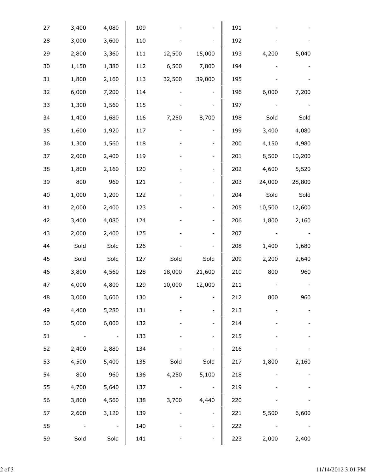| 27 | 3,400 | 4,080 | 109 |        |                          | 191 |        |        |
|----|-------|-------|-----|--------|--------------------------|-----|--------|--------|
| 28 | 3,000 | 3,600 | 110 |        |                          | 192 |        |        |
| 29 | 2,800 | 3,360 | 111 | 12,500 | 15,000                   | 193 | 4,200  | 5,040  |
| 30 | 1,150 | 1,380 | 112 | 6,500  | 7,800                    | 194 |        |        |
| 31 | 1,800 | 2,160 | 113 | 32,500 | 39,000                   | 195 |        |        |
| 32 | 6,000 | 7,200 | 114 |        |                          | 196 | 6,000  | 7,200  |
| 33 | 1,300 | 1,560 | 115 |        |                          | 197 |        |        |
| 34 | 1,400 | 1,680 | 116 | 7,250  | 8,700                    | 198 | Sold   | Sold   |
| 35 | 1,600 | 1,920 | 117 |        | $\overline{\phantom{a}}$ | 199 | 3,400  | 4,080  |
| 36 | 1,300 | 1,560 | 118 |        | $\overline{\phantom{0}}$ | 200 | 4,150  | 4,980  |
| 37 | 2,000 | 2,400 | 119 |        | $\overline{\phantom{a}}$ | 201 | 8,500  | 10,200 |
| 38 | 1,800 | 2,160 | 120 |        | $\qquad \qquad -$        | 202 | 4,600  | 5,520  |
| 39 | 800   | 960   | 121 |        | -                        | 203 | 24,000 | 28,800 |
| 40 | 1,000 | 1,200 | 122 |        | $\overline{\phantom{0}}$ | 204 | Sold   | Sold   |
| 41 | 2,000 | 2,400 | 123 |        | $\overline{\phantom{a}}$ | 205 | 10,500 | 12,600 |
| 42 | 3,400 | 4,080 | 124 |        | $\qquad \qquad -$        | 206 | 1,800  | 2,160  |
| 43 | 2,000 | 2,400 | 125 |        |                          | 207 |        |        |
| 44 | Sold  | Sold  | 126 |        |                          | 208 | 1,400  | 1,680  |
| 45 | Sold  | Sold  | 127 | Sold   | Sold                     | 209 | 2,200  | 2,640  |
| 46 | 3,800 | 4,560 | 128 | 18,000 | 21,600                   | 210 | 800    | 960    |
| 47 | 4,000 | 4,800 | 129 | 10,000 | 12,000                   | 211 |        |        |
| 48 | 3,000 | 3,600 | 130 |        |                          | 212 | 800    | 960    |
| 49 | 4,400 | 5,280 | 131 |        | $\overline{\phantom{0}}$ | 213 |        |        |
| 50 | 5,000 | 6,000 | 132 |        |                          | 214 |        |        |
| 51 |       |       | 133 |        |                          | 215 |        |        |
| 52 | 2,400 | 2,880 | 134 |        |                          | 216 |        |        |
| 53 | 4,500 | 5,400 | 135 | Sold   | Sold                     | 217 | 1,800  | 2,160  |
| 54 | 800   | 960   | 136 | 4,250  | 5,100                    | 218 |        |        |
| 55 | 4,700 | 5,640 | 137 |        |                          | 219 |        |        |
| 56 | 3,800 | 4,560 | 138 | 3,700  | 4,440                    | 220 |        |        |
| 57 | 2,600 | 3,120 | 139 |        |                          | 221 | 5,500  | 6,600  |
| 58 |       |       | 140 |        | $\overline{\phantom{0}}$ | 222 |        |        |
| 59 | Sold  | Sold  | 141 |        |                          | 223 | 2,000  | 2,400  |